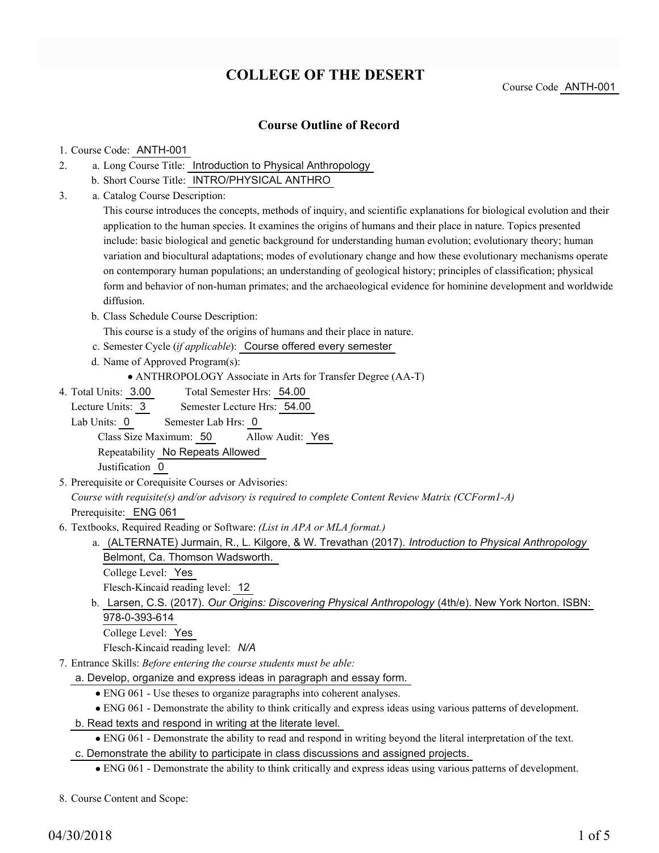# **COLLEGE OF THE DESERT**

#### **Course Outline of Record**

#### 1. Course Code: ANTH-001

- a. Long Course Title: Introduction to Physical Anthropology 2.
	- b. Short Course Title: INTRO/PHYSICAL ANTHRO
- Catalog Course Description: a. 3.

This course introduces the concepts, methods of inquiry, and scientific explanations for biological evolution and their application to the human species. It examines the origins of humans and their place in nature. Topics presented include: basic biological and genetic background for understanding human evolution; evolutionary theory; human variation and biocultural adaptations; modes of evolutionary change and how these evolutionary mechanisms operate on contemporary human populations; an understanding of geological history; principles of classification; physical form and behavior of non-human primates; and the archaeological evidence for hominine development and worldwide diffusion.

b. Class Schedule Course Description:

This course is a study of the origins of humans and their place in nature.

- c. Semester Cycle (*if applicable*): Course offered every semester
- d. Name of Approved Program(s):

ANTHROPOLOGY Associate in Arts for Transfer Degree (AA-T)

Total Semester Hrs: 54.00 4. Total Units: 3.00

Lecture Units: 3 Semester Lecture Hrs: 54.00

Lab Units: 0 Semester Lab Hrs: 0

Class Size Maximum: 50 Allow Audit: Yes Repeatability No Repeats Allowed

Justification 0

5. Prerequisite or Corequisite Courses or Advisories:

*Course with requisite(s) and/or advisory is required to complete Content Review Matrix (CCForm1-A)* Prerequisite: ENG 061

- Textbooks, Required Reading or Software: *(List in APA or MLA format.)* 6.
	- (ALTERNATE) Jurmain, R., L. Kilgore, & W. Trevathan (2017). *Introduction to Physical Anthropology* a. Belmont, Ca. Thomson Wadsworth.
		- College Level: Yes

Flesch-Kincaid reading level: 12

b. Larsen, C.S. (2017). *Our Origins: Discovering Physical Anthropology* (4th/e). New York Norton. ISBN: 978-0-393-614

College Level: Yes

Flesch-Kincaid reading level: *N/A*

- Entrance Skills: *Before entering the course students must be able:* 7.
	- a. Develop, organize and express ideas in paragraph and essay form.
		- ENG 061 Use theses to organize paragraphs into coherent analyses.
	- ENG 061 Demonstrate the ability to think critically and express ideas using various patterns of development.
	- b. Read texts and respond in writing at the literate level.
		- ENG 061 Demonstrate the ability to read and respond in writing beyond the literal interpretation of the text.
	- c. Demonstrate the ability to participate in class discussions and assigned projects.
		- ENG 061 Demonstrate the ability to think critically and express ideas using various patterns of development.

8. Course Content and Scope: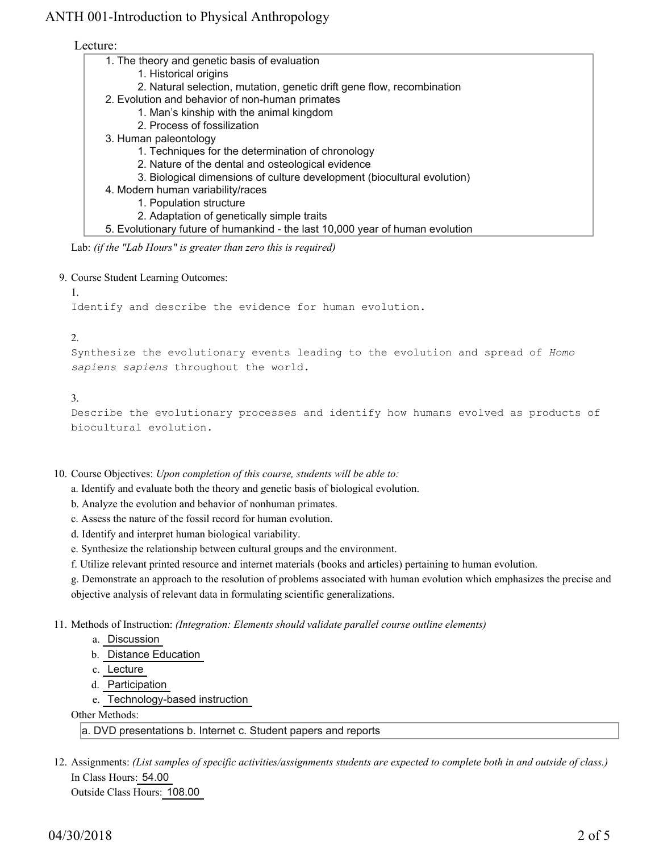Lecture:

| 1. The theory and genetic basis of evaluation                                 |
|-------------------------------------------------------------------------------|
| 1. Historical origins                                                         |
| 2. Natural selection, mutation, genetic drift gene flow, recombination        |
| 2. Evolution and behavior of non-human primates                               |
| 1. Man's kinship with the animal kingdom                                      |
| 2. Process of fossilization                                                   |
| 3. Human paleontology                                                         |
| 1. Techniques for the determination of chronology                             |
| 2. Nature of the dental and osteological evidence                             |
| 3. Biological dimensions of culture development (biocultural evolution)       |
| 4. Modern human variability/races                                             |
| 1. Population structure                                                       |
| 2. Adaptation of genetically simple traits                                    |
| 5. Evolutionary future of humankind - the last 10,000 year of human evolution |
| Lab: (if the "Lab Hours" is greater than zero this is required)               |

9. Course Student Learning Outcomes: 1.

Identify and describe the evidence for human evolution.

#### 2.

Synthesize the evolutionary events leading to the evolution and spread of *Homo sapiens sapiens* throughout the world.

#### 3.

Describe the evolutionary processes and identify how humans evolved as products of biocultural evolution.

10. Course Objectives: Upon completion of this course, students will be able to:

a. Identify and evaluate both the theory and genetic basis of biological evolution.

- b. Analyze the evolution and behavior of nonhuman primates.
- c. Assess the nature of the fossil record for human evolution.
- d. Identify and interpret human biological variability.
- e. Synthesize the relationship between cultural groups and the environment.

f. Utilize relevant printed resource and internet materials (books and articles) pertaining to human evolution.

g. Demonstrate an approach to the resolution of problems associated with human evolution which emphasizes the precise and objective analysis of relevant data in formulating scientific generalizations.

11. Methods of Instruction: *(Integration: Elements should validate parallel course outline elements)* 

- a. Discussion
- b. Distance Education
- c. Lecture
- d. Participation
- e. Technology-based instruction

Other Methods:

a. DVD presentations b. Internet c. Student papers and reports

12. Assignments: (List samples of specific activities/assignments students are expected to complete both in and outside of class.) In Class Hours: 54.00 Outside Class Hours: 108.00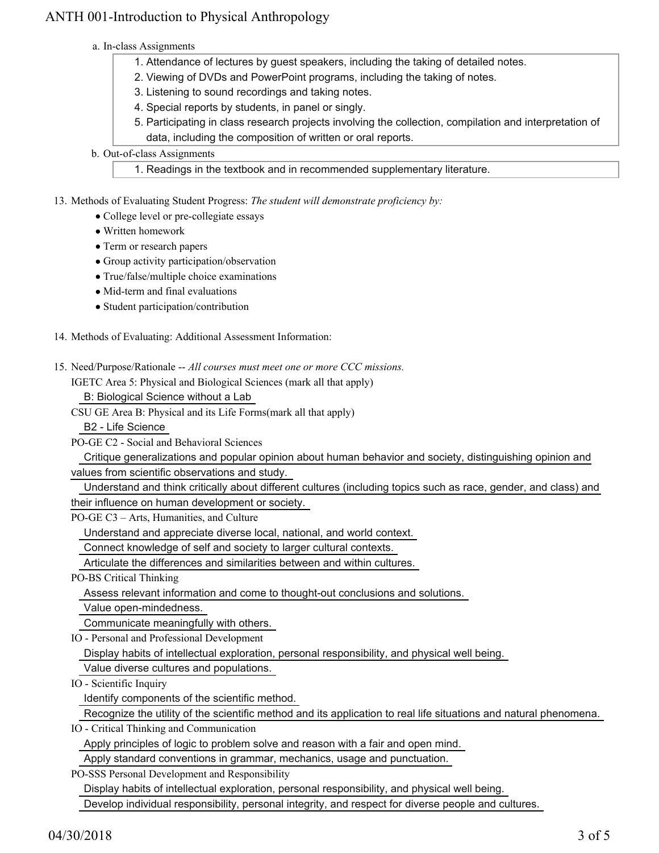- a. In-class Assignments
	- 1. Attendance of lectures by guest speakers, including the taking of detailed notes.
	- 2. Viewing of DVDs and PowerPoint programs, including the taking of notes.
	- 3. Listening to sound recordings and taking notes.
	- 4. Special reports by students, in panel or singly.
	- Participating in class research projects involving the collection, compilation and interpretation of 5. data, including the composition of written or oral reports.
- b. Out-of-class Assignments

1. Readings in the textbook and in recommended supplementary literature.

13. Methods of Evaluating Student Progress: The student will demonstrate proficiency by:

- College level or pre-collegiate essays
- Written homework
- Term or research papers
- Group activity participation/observation
- True/false/multiple choice examinations
- Mid-term and final evaluations
- Student participation/contribution
- 14. Methods of Evaluating: Additional Assessment Information:
- 15. Need/Purpose/Rationale -- All courses must meet one or more CCC missions.

IGETC Area 5: Physical and Biological Sciences (mark all that apply)

B: Biological Science without a Lab

CSU GE Area B: Physical and its Life Forms(mark all that apply)

B2 - Life Science

PO-GE C2 - Social and Behavioral Sciences

 Critique generalizations and popular opinion about human behavior and society, distinguishing opinion and values from scientific observations and study.

Understand and think critically about different cultures (including topics such as race, gender, and class) and

their influence on human development or society.

PO-GE C3 – Arts, Humanities, and Culture

Understand and appreciate diverse local, national, and world context.

Connect knowledge of self and society to larger cultural contexts.

Articulate the differences and similarities between and within cultures.

PO-BS Critical Thinking

Assess relevant information and come to thought-out conclusions and solutions.

Value open-mindedness.

Communicate meaningfully with others.

IO - Personal and Professional Development

Display habits of intellectual exploration, personal responsibility, and physical well being.

Value diverse cultures and populations.

IO - Scientific Inquiry

Identify components of the scientific method.

Recognize the utility of the scientific method and its application to real life situations and natural phenomena.

IO - Critical Thinking and Communication

Apply principles of logic to problem solve and reason with a fair and open mind.

Apply standard conventions in grammar, mechanics, usage and punctuation.

PO-SSS Personal Development and Responsibility

Display habits of intellectual exploration, personal responsibility, and physical well being.

Develop individual responsibility, personal integrity, and respect for diverse people and cultures.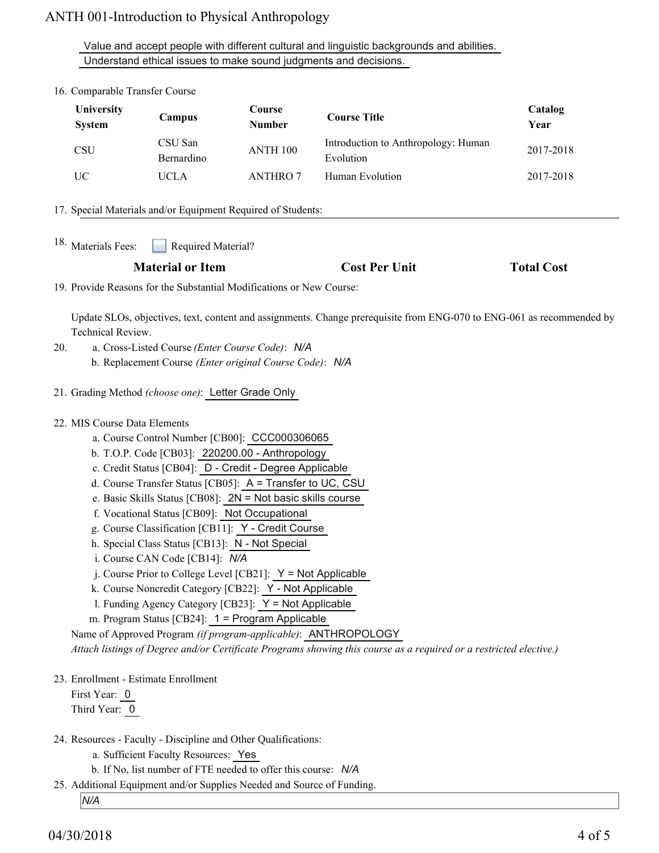Value and accept people with different cultural and linguistic backgrounds and abilities. Understand ethical issues to make sound judgments and decisions.

| <b>System</b>                | Campus                                                                                                                             | Course<br><b>Number</b>                                                                                                                                                                                                                                                                                                                                                                                          | <b>Course Title</b>                                                                                                                                                                  | Catalog<br>Year   |
|------------------------------|------------------------------------------------------------------------------------------------------------------------------------|------------------------------------------------------------------------------------------------------------------------------------------------------------------------------------------------------------------------------------------------------------------------------------------------------------------------------------------------------------------------------------------------------------------|--------------------------------------------------------------------------------------------------------------------------------------------------------------------------------------|-------------------|
| CSU                          | CSU San<br>Bernardino                                                                                                              | ANTH 100                                                                                                                                                                                                                                                                                                                                                                                                         | Introduction to Anthropology: Human<br>Evolution                                                                                                                                     | 2017-2018         |
| UC                           | <b>UCLA</b>                                                                                                                        | <b>ANTHRO 7</b>                                                                                                                                                                                                                                                                                                                                                                                                  | Human Evolution                                                                                                                                                                      | 2017-2018         |
|                              |                                                                                                                                    | 17. Special Materials and/or Equipment Required of Students:                                                                                                                                                                                                                                                                                                                                                     |                                                                                                                                                                                      |                   |
| 18. Materials Fees:          | Required Material?                                                                                                                 |                                                                                                                                                                                                                                                                                                                                                                                                                  |                                                                                                                                                                                      |                   |
|                              | <b>Material or Item</b>                                                                                                            |                                                                                                                                                                                                                                                                                                                                                                                                                  | <b>Cost Per Unit</b>                                                                                                                                                                 | <b>Total Cost</b> |
|                              |                                                                                                                                    | 19. Provide Reasons for the Substantial Modifications or New Course:                                                                                                                                                                                                                                                                                                                                             |                                                                                                                                                                                      |                   |
| 22. MIS Course Data Elements | f. Vocational Status [CB09]: Not Occupational<br>h. Special Class Status [CB13]: N - Not Special<br>i. Course CAN Code [CB14]: N/A | a. Course Control Number [CB00]: CCC000306065<br>b. T.O.P. Code [CB03]: 220200.00 - Anthropology<br>c. Credit Status [CB04]: D - Credit - Degree Applicable<br>d. Course Transfer Status [CB05]: A = Transfer to UC, CSU<br>e. Basic Skills Status [CB08]: $2N = Not basic skills course$<br>g. Course Classification [CB11]: Y - Credit Course<br>j. Course Prior to College Level [CB21]: $Y = Not$ Applicable |                                                                                                                                                                                      |                   |
|                              | k. Course Noncredit Category [CB22]: Y - Not Applicable                                                                            | 1. Funding Agency Category [CB23]: Y = Not Applicable<br>m. Program Status [CB24]: 1 = Program Applicable                                                                                                                                                                                                                                                                                                        | Name of Approved Program (if program-applicable): ANTHROPOLOGY<br>Attach listings of Degree and/or Certificate Programs showing this course as a required or a restricted elective.) |                   |

b. If No, list number of FTE needed to offer this course: *N/A*

25. Additional Equipment and/or Supplies Needed and Source of Funding.

*N/A*